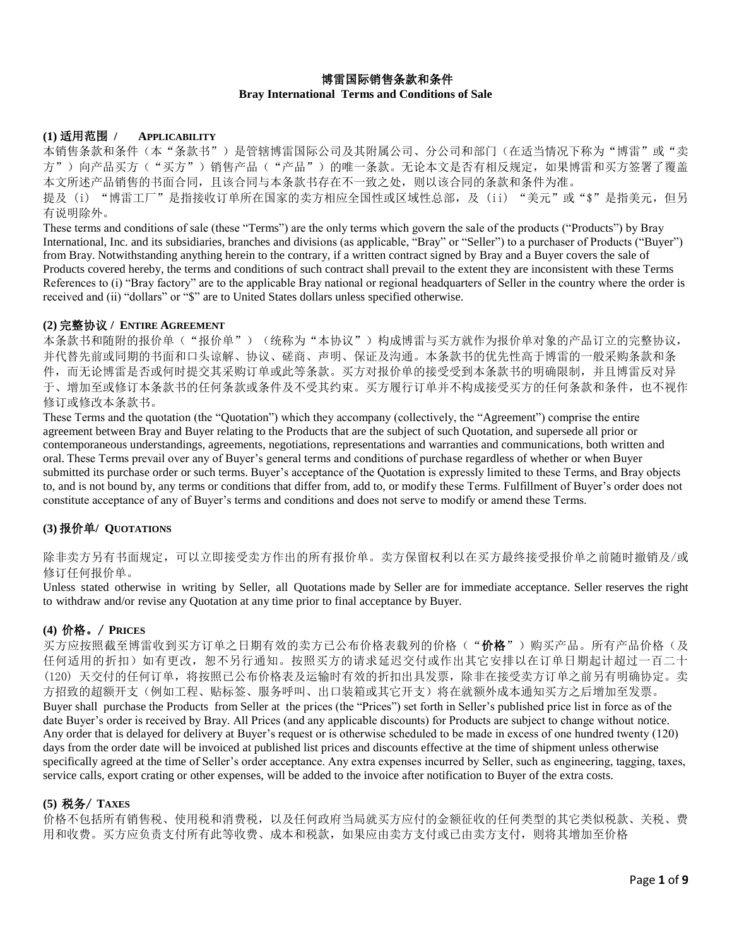# 博雷国际销售条款和条件 **Bray International Terms and Conditions of Sale**

#### **(1)** 适用范围 **/ APPLICABILITY**

本销售条款和条件(本"条款书")是管辖博雷国际公司及其附属公司、分公司和部门(在适当情况下称为"博雷"或"卖 方")向产品买方("买方")销售产品("产品")的唯一条款。无论本文是否有相反规定,如果博雷和买方签署了覆盖 本文所述产品销售的书面合同,且该合同与本条款书存在不一致之处,则以该合同的条款和条件为准。 提及 (i) "博雷工厂"是指接收订单所在国家的卖方相应全国性或区域性总部,及 (ii) "美元"或"\$"是指美元, 但另 有说明除外。

These terms and conditions of sale (these "Terms") are the only terms which govern the sale of the products ("Products") by Bray International, Inc. and its subsidiaries, branches and divisions (as applicable, "Bray" or "Seller") to a purchaser of Products ("Buyer") from Bray. Notwithstanding anything herein to the contrary, if a written contract signed by Bray and a Buyer covers the sale of Products covered hereby, the terms and conditions of such contract shall prevail to the extent they are inconsistent with these Terms References to (i) "Bray factory" are to the applicable Bray national or regional headquarters of Seller in the country where the order is received and (ii) "dollars" or "\$" are to United States dollars unless specified otherwise.

### **(2)** 完整协议 **/ ENTIRE AGREEMENT**

本条款书和随附的报价单("报价单")(统称为"本协议")构成博雷与买方就作为报价单对象的产品订立的完整协议, 并代替先前或同期的书面和口头谅解、协议、磋商、声明、保证及沟通。本条款书的优先性高于博雷的一般采购条款和条 件,而无论博雷是否或何时提交其采购订单或此等条款。买方对报价单的接受受到本条款书的明确限制,并且博雷反对异 于、增加至或修订本条款书的任何条款或条件及不受其约束。买方履行订单并不构成接受买方的任何条款和条件,也不视作 修订或修改本条款书。

These Terms and the quotation (the "Quotation") which they accompany (collectively, the "Agreement") comprise the entire agreement between Bray and Buyer relating to the Products that are the subject of such Quotation, and supersede all prior or contemporaneous understandings, agreements, negotiations, representations and warranties and communications, both written and oral. These Terms prevail over any of Buyer's general terms and conditions of purchase regardless of whether or when Buyer submitted its purchase order or such terms. Buyer's acceptance of the Quotation is expressly limited to these Terms, and Bray objects to, and is not bound by, any terms or conditions that differ from, add to, or modify these Terms. Fulfillment of Buyer's order does not constitute acceptance of any of Buyer's terms and conditions and does not serve to modify or amend these Terms.

# **(3)** 报价单**/ QUOTATIONS**

除非卖方另有书面规定,可以立即接受卖方作出的所有报价单。卖方保留权利以在买方最终接受报价单之前随时撤销及/或 修订任何报价单。

Unless stated otherwise in writing by Seller, all Quotations made by Seller are for immediate acceptance. Seller reserves the right to withdraw and/or revise any Quotation at any time prior to final acceptance by Buyer.

# **(4)** 价格。/ **PRICES**

买方应按照截至博雷收到买方订单之日期有效的卖方已公布价格表载列的价格("**价格**")购买产品。所有产品价格(及 任何适用的折扣)如有更改,恕不另行通知。按照买方的请求延迟交付或作出其它安排以在订单日期起计超过一百二十 (120) 天交付的任何订单,将按照已公布价格表及运输时有效的折扣出具发票,除非在接受卖方订单之前另有明确协定。卖 方招致的超额开支(例如工程、贴标签、服务呼叫、出口装箱或其它开支)将在就额外成本通知买方之后增加至发票。 Buyer shall purchase the Products from Seller at the prices (the "Prices") set forth in Seller's published price list in force as of the date Buyer's order is received by Bray. All Prices (and any applicable discounts) for Products are subject to change without notice. Any order that is delayed for delivery at Buyer's request or is otherwise scheduled to be made in excess of one hundred twenty (120) days from the order date will be invoiced at published list prices and discounts effective at the time of shipment unless otherwise specifically agreed at the time of Seller's order acceptance. Any extra expenses incurred by Seller, such as engineering, tagging, taxes, service calls, export crating or other expenses, will be added to the invoice after notification to Buyer of the extra costs.

# **(5)** 税务/ **TAXES**

价格不包括所有销售税、使用税和消费税,以及任何政府当局就买方应付的金额征收的任何类型的其它类似税款、关税、费 用和收费。买方应负责支付所有此等收费、成本和税款,如果应由卖方支付或已由卖方支付,则将其增加至价格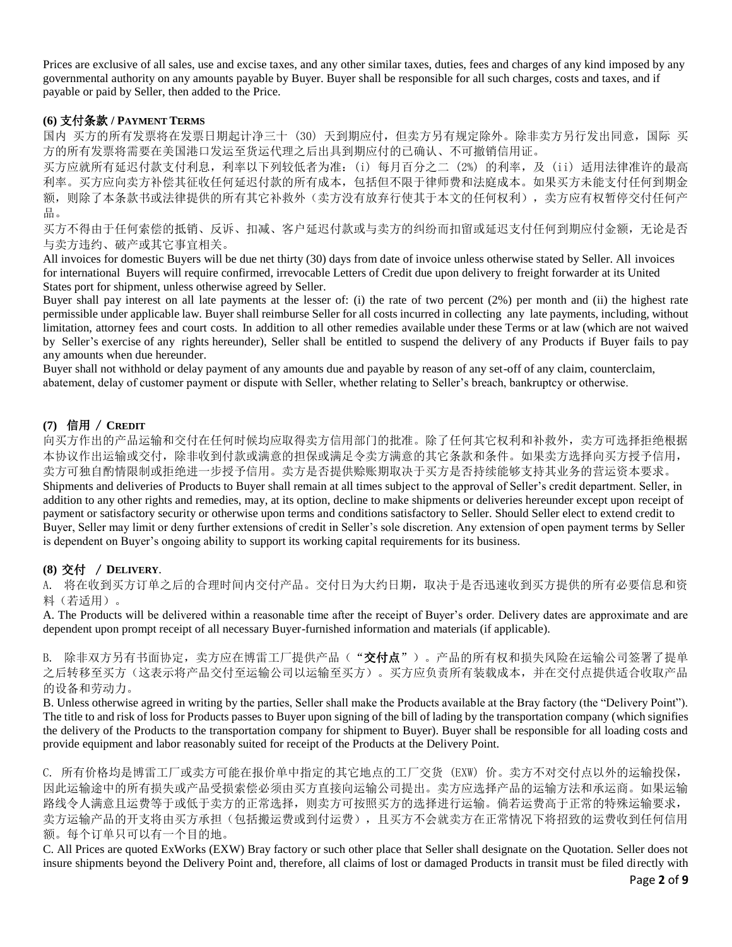Prices are exclusive of all sales, use and excise taxes, and any other similar taxes, duties, fees and charges of any kind imposed by any governmental authority on any amounts payable by Buyer. Buyer shall be responsible for all such charges, costs and taxes, and if payable or paid by Seller, then added to the Price.

### **(6)** 支付条款 **/ PAYMENT TERMS**

国内 买方的所有发票将在发票日期起计净三十 (30) 天到期应付,但卖方另有规定除外。除非卖方另行发出同意,国际 买 方的所有发票将需要在美国港口发运至货运代理之后出具到期应付的已确认、不可撤销信用证。

买方应就所有延迟付款支付利息,利率以下列较低者为准:(i) 每月百分之二 (2%) 的利率,及 (ii) 适用法律准许的最高 利率。买方应向卖方补偿其征收任何延迟付款的所有成本,包括但不限于律师费和法庭成本。如果买方未能支付任何到期金 额,则除了本条款书或法律提供的所有其它补救外(卖方没有放弃行使其于本文的任何权利),卖方应有权暂停交付任何产 品。

买方不得由于任何索偿的抵销、反诉、扣减、客户延迟付款或与卖方的纠纷而扣留或延迟支付任何到期应付金额,无论是否 与卖方违约、破产或其它事宜相关。

All invoices for domestic Buyers will be due net thirty (30) days from date of invoice unless otherwise stated by Seller. All invoices for international Buyers will require confirmed, irrevocable Letters of Credit due upon delivery to freight forwarder at its United States port for shipment, unless otherwise agreed by Seller.

Buyer shall pay interest on all late payments at the lesser of: (i) the rate of two percent (2%) per month and (ii) the highest rate permissible under applicable law. Buyer shall reimburse Seller for all costs incurred in collecting any late payments, including, without limitation, attorney fees and court costs. In addition to all other remedies available under these Terms or at law (which are not waived by Seller's exercise of any rights hereunder), Seller shall be entitled to suspend the delivery of any Products if Buyer fails to pay any amounts when due hereunder.

Buyer shall not withhold or delay payment of any amounts due and payable by reason of any set-off of any claim, counterclaim, abatement, delay of customer payment or dispute with Seller, whether relating to Seller's breach, bankruptcy or otherwise.

# **(7)** 信用 / **CREDIT**

向买方作出的产品运输和交付在任何时候均应取得卖方信用部门的批准。除了任何其它权利和补救外,卖方可选择拒绝根据 本协议作出运输或交付,除非收到付款或满意的担保或满足令卖方满意的其它条款和条件。如果卖方选择向买方授予信用, 卖方可独自酌情限制或拒绝进一步授予信用。卖方是否提供赊账期取决于买方是否持续能够支持其业务的营运资本要求。 Shipments and deliveries of Products to Buyer shall remain at all times subject to the approval of Seller's credit department. Seller, in addition to any other rights and remedies, may, at its option, decline to make shipments or deliveries hereunder except upon receipt of payment or satisfactory security or otherwise upon terms and conditions satisfactory to Seller. Should Seller elect to extend credit to Buyer, Seller may limit or deny further extensions of credit in Seller's sole discretion. Any extension of open payment terms by Seller is dependent on Buyer's ongoing ability to support its working capital requirements for its business.

# **(8)** 交付 / **DELIVERY**.

A. 将在收到买方订单之后的合理时间内交付产品。交付日为大约日期,取决于是否迅速收到买方提供的所有必要信息和资 料(若适用)。

A. The Products will be delivered within a reasonable time after the receipt of Buyer's order. Delivery dates are approximate and are dependent upon prompt receipt of all necessary Buyer-furnished information and materials (if applicable).

<span id="page-1-0"></span>B. 除非双方另有书面协定,卖方应在博雷工厂提供产品("交付点")。产品的所有权和损失风险在运输公司签署了提单 之后转移至买方(这表示将产品交付至运输公司以运输至买方)。买方应负责所有装载成本,并在交付点提供适合收取产品 的设备和劳动力。

B. Unless otherwise agreed in writing by the parties, Seller shall make the Products available at the Bray factory (the "Delivery Point"). The title to and risk of loss for Products passes to Buyer upon signing of the bill of lading by the transportation company (which signifies the delivery of the Products to the transportation company for shipment to Buyer). Buyer shall be responsible for all loading costs and provide equipment and labor reasonably suited for receipt of the Products at the Delivery Point.

C. 所有价格均是博雷工厂或卖方可能在报价单中指定的其它地点的工厂交货 (EXW) 价。卖方不对交付点以外的运输投保, 因此运输途中的所有损失或产品受损索偿必须由买方直接向运输公司提出。卖方应选择产品的运输方法和承运商。如果运输 路线令人满意且运费等于或低于卖方的正常选择,则卖方可按照买方的选择进行运输。倘若运费高于正常的特殊运输要求, 卖方运输产品的开支将由买方承担(包括搬运费或到付运费),且买方不会就卖方在正常情况下将招致的运费收到任何信用 额。每个订单只可以有一个目的地。

C. All Prices are quoted ExWorks (EXW) Bray factory or such other place that Seller shall designate on the Quotation. Seller does not insure shipments beyond the Delivery Point and, therefore, all claims of lost or damaged Products in transit must be filed directly with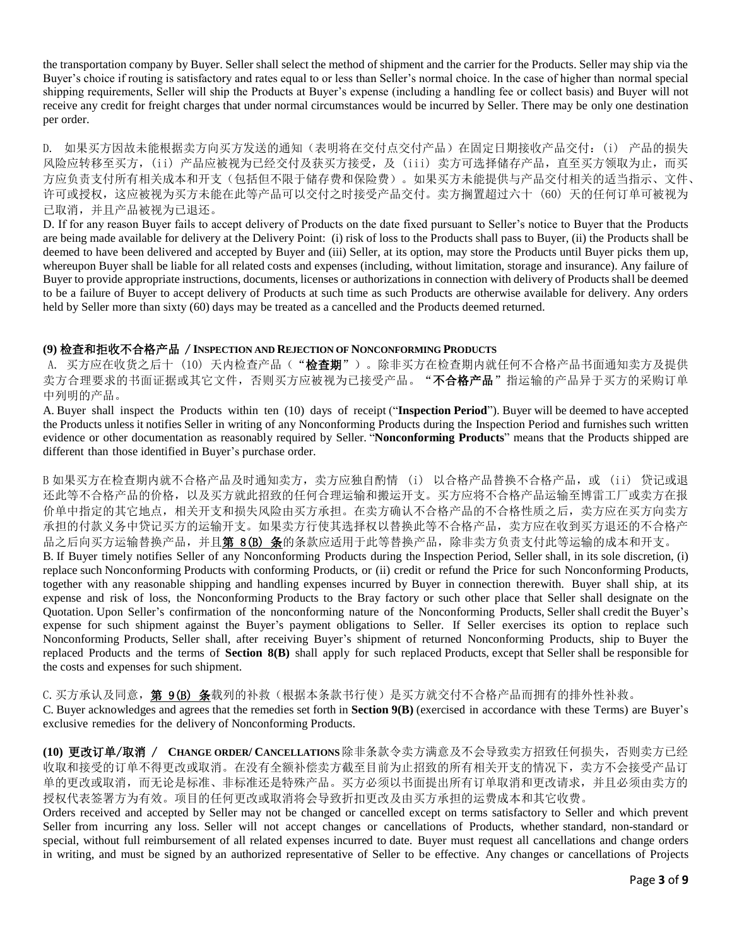the transportation company by Buyer. Seller shall select the method of shipment and the carrier for the Products. Seller may ship via the Buyer's choice if routing is satisfactory and rates equal to or less than Seller's normal choice. In the case of higher than normal special shipping requirements, Seller will ship the Products at Buyer's expense (including a handling fee or collect basis) and Buyer will not receive any credit for freight charges that under normal circumstances would be incurred by Seller. There may be only one destination per order.

D. 如果买方因故未能根据卖方向买方发送的通知(表明将在交付点交付产品)在固定日期接收产品交付:(i) 产品的损失 风险应转移至买方,(ii) 产品应被视为已经交付及获买方接受,及(iii) 卖方可选择储存产品,直至买方领取为止, 而买 方应负责支付所有相关成本和开支(包括但不限于储存费和保险费)。如果买方未能提供与产品交付相关的适当指示、文件、 许可或授权,这应被视为买方未能在此等产品可以交付之时接受产品交付。卖方搁置超过六十 (60) 天的任何订单可被视为 已取消,并且产品被视为已退还。

D. If for any reason Buyer fails to accept delivery of Products on the date fixed pursuant to Seller's notice to Buyer that the Products are being made available for delivery at the Delivery Point: (i) risk of loss to the Products shall pass to Buyer, (ii) the Products shall be deemed to have been delivered and accepted by Buyer and (iii) Seller, at its option, may store the Products until Buyer picks them up, whereupon Buyer shall be liable for all related costs and expenses (including, without limitation, storage and insurance). Any failure of Buyer to provide appropriate instructions, documents, licenses or authorizations in connection with delivery of Products shall be deemed to be a failure of Buyer to accept delivery of Products at such time as such Products are otherwise available for delivery. Any orders held by Seller more than sixty (60) days may be treated as a cancelled and the Products deemed returned.

### **(9)** 检查和拒收不合格产品 / **INSPECTION AND REJECTION OF NONCONFORMING PRODUCTS**

A. 买方应在收货之后十 (10) 天内检查产品("检查期")。除非买方在检查期内就任何不合格产品书面通知卖方及提供 卖方合理要求的书面证据或其它文件,否则买方应被视为已接受产品。"不合格产品"指运输的产品异于买方的采购订单 中列明的产品。

A. Buyer shall inspect the Products within ten (10) days of receipt ("**Inspection Period**"). Buyer will be deemed to have accepted the Products unless it notifies Seller in writing of any Nonconforming Products during the Inspection Period and furnishes such written evidence or other documentation as reasonably required by Seller. "**Nonconforming Products**" means that the Products shipped are different than those identified in Buyer's purchase order.

<span id="page-2-0"></span>B 如果买方在检查期内就不合格产品及时通知卖方,卖方应独自酌情 (i) 以合格产品替换不合格产品,或 (ii) 贷记或退 还此等不合格产品的价格,以及买方就此招致的任何合理运输和搬运开支。买方应将不合格产品运输至博雷工厂或卖方在报 价单中指定的其它地点,相关开支和损失风险由买方承担。在卖方确认不合格产品的不合格性质之后,卖方应在买方向卖方 承担的付款义务中贷记买方的运输开支。如果卖方行使其选择权以替换此等不合格产品,卖方应在收到买方退还的不合格产 品之后向买方运输替换产品,并且第 [8\(B\)](#page-1-0) 条的条款应适用于此等替换产品,除非卖方负责支付此等运输的成本和开支。 B. If Buyer timely notifies Seller of any Nonconforming Products during the Inspection Period, Seller shall, in its sole discretion, (i) replace such Nonconforming Products with conforming Products, or (ii) credit or refund the Price for such Nonconforming Products, together with any reasonable shipping and handling expenses incurred by Buyer in connection therewith. Buyer shall ship, at its expense and risk of loss, the Nonconforming Products to the Bray factory or such other place that Seller shall designate on the Quotation. Upon Seller's confirmation of the nonconforming nature of the Nonconforming Products, Seller shall credit the Buyer's expense for such shipment against the Buyer's payment obligations to Seller. If Seller exercises its option to replace such Nonconforming Products, Seller shall, after receiving Buyer's shipment of returned Nonconforming Products, ship to Buyer the replaced Products and the terms of **Section 8(B)** shall apply for such replaced Products, except that Seller shall be responsible for the costs and expenses for such shipment.

C.买方承认及同意, 第 [9\(B\)](#page-2-0) 条载列的补救(根据本条款书行使)是买方就交付不合格产品而拥有的排外性补救。 C. Buyer acknowledges and agrees that the remedies set forth in **[Section](#page-2-1) 9(B)** (exercised in accordance with these Terms) are Buyer's exclusive remedies for the delivery of Nonconforming Products.

<span id="page-2-1"></span>**(10)** 更改订单/取消 / **CHANGE ORDER/ CANCELLATIONS** 除非条款令卖方满意及不会导致卖方招致任何损失,否则卖方已经 收取和接受的订单不得更改或取消。在没有全额补偿卖方截至目前为止招致的所有相关开支的情况下,卖方不会接受产品订 单的更改或取消,而无论是标准、非标准还是特殊产品。买方必须以书面提出所有订单取消和更改请求,并且必须由卖方的 授权代表签署方为有效。项目的任何更改或取消将会导致折扣更改及由买方承担的运费成本和其它收费。

Orders received and accepted by Seller may not be changed or cancelled except on terms satisfactory to Seller and which prevent Seller from incurring any loss. Seller will not accept changes or cancellations of Products, whether standard, non-standard or special, without full reimbursement of all related expenses incurred to date. Buyer must request all cancellations and change orders in writing, and must be signed by an authorized representative of Seller to be effective. Any changes or cancellations of Projects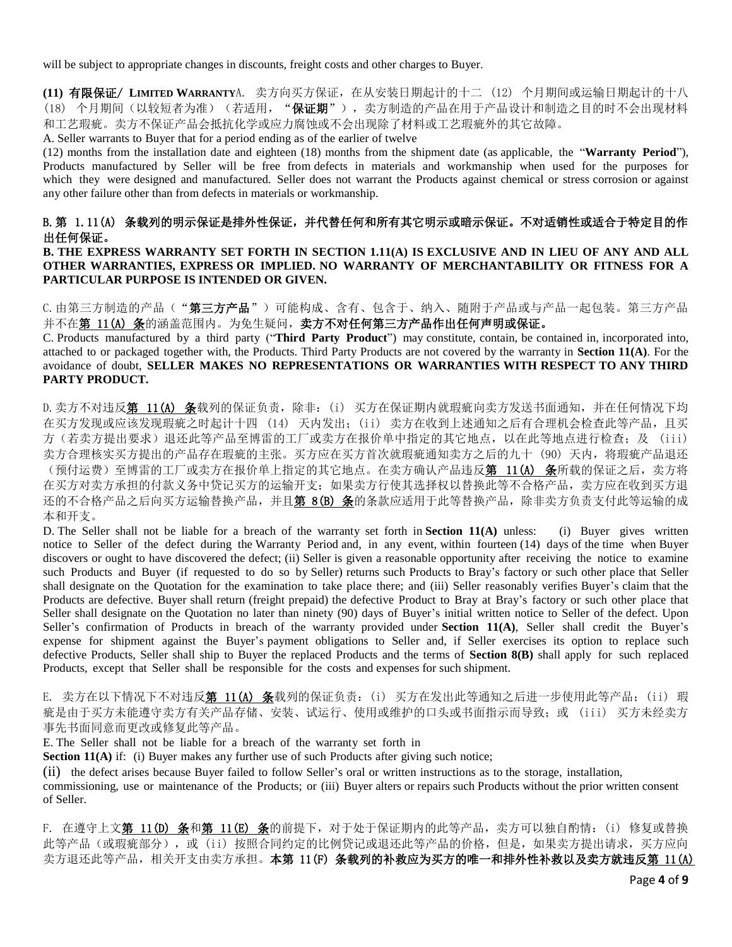will be subject to appropriate changes in discounts, freight costs and other charges to Buyer.

<span id="page-3-0"></span>**(11)** 有限保证/ **LIMITED WARRANTY**A. 卖方向买方保证,在从安装日期起计的十二 (12) 个月期间或运输日期起计的十八 (18) 个月期间(以较短者为准)(若适用, "保证期"),卖方制造的产品在用于产品设计和制造之目的时不会出现材料 和工艺瑕疵。卖方不保证产品会抵抗化学或应力腐蚀或不会出现除了材料或工艺瑕疵外的其它故障。

A. Seller warrants to Buyer that for a period ending as of the earlier of twelve

(12) months from the installation date and eighteen (18) months from the shipment date (as applicable, the "**Warranty Period**"), Products manufactured by Seller will be free from defects in materials and workmanship when used for the purposes for which they were designed and manufactured. Seller does not warrant the Products against chemical or stress corrosion or against any other failure other than from defects in materials or workmanship.

# B.第 [1.11\(A\)](#page-3-0) 条载列的明示保证是排外性保证,并代替任何和所有其它明示或暗示保证。不对适销性或适合于特定目的作 出任何保证。

#### **B. THE EXPRESS WARRANTY SET FORTH IN SECTION 1.11(A) IS EXCLUSIVE AND IN LIEU OF ANY AND ALL OTHER WARRANTIES, EXPRESS OR IMPLIED. NO WARRANTY OF MERCHANTABILITY OR FITNESS FOR A PARTICULAR PURPOSE IS INTENDED OR GIVEN.**

C. 由第三方制造的产品("第三方产品")可能构成、含有、包含于、纳入、随附于产品或与产品一起包装。第三方产品 并不在第 [11\(A\)](#page-3-0) 条的涵盖范围内。为免生疑问,卖方不对任何第三方产品作出任何声明或保证。

C. Products manufactured by a third party ("**Third Party Product**") may constitute, contain, be contained in, incorporated into, attached to or packaged together with, the Products. Third Party Products are not covered by the warranty in **Section 11(A)**. For the avoidance of doubt, **SELLER MAKES NO REPRESENTATIONS OR WARRANTIES WITH RESPECT TO ANY THIRD PARTY PRODUCT.**

<span id="page-3-1"></span>D. 卖方不对违反第 [11\(A\)](#page-3-0) 条载列的保证负责, 除非: (i) 买方在保证期内就瑕疵向卖方发送书面通知, 并在任何情况下均 在买方发现或应该发现瑕疵之时起计十四 (14) 天内发出;(ii) 卖方在收到上述通知之后有合理机会检查此等产品,且买 方(若卖方提出要求)退还此等产品至博雷的工厂或卖方在报价单中指定的其它地点,以在此等地点进行检查;及 (iii) 卖方合理核实买方提出的产品存在瑕疵的主张。买方应在买方首次就瑕疵通知卖方之后的九十 (90) 天内,将瑕疵产品退还 (预付运费)至博雷的工厂或卖方在报价单上指定的其它地点。在卖方确认产品违反第 [11\(A\)](#page-3-0) 条所载的保证之后,卖方将 在买方对卖方承担的付款义务中贷记买方的运输开支;如果卖方行使其选择权以替换此等不合格产品,卖方应在收到买方退 还的不合格产品之后向买方运输替换产品,并且第 [8\(B\)](#page-1-0) 条的条款应适用于此等替换产品,除非卖方负责支付此等运输的成 本和开支。

D. The Seller shall not be liable for a breach of the warranty set forth in **Section 11(A)** unless: (i) Buyer gives written notice to Seller of the defect during the Warranty Period and, in any event, within fourteen (14) days of the time when Buyer discovers or ought to have discovered the defect; (ii) Seller is given a reasonable opportunity after receiving the notice to examine such Products and Buyer (if requested to do so by Seller) returns such Products to Bray's factory or such other place that Seller shall designate on the Quotation for the examination to take place there; and (iii) Seller reasonably verifies Buyer's claim that the Products are defective. Buyer shall return (freight prepaid) the defective Product to Bray at Bray's factory or such other place that Seller shall designate on the Quotation no later than ninety (90) days of Buyer's initial written notice to Seller of the defect. Upon Seller's confirmation of Products in breach of the warranty provided under **Section 11(A)**, Seller shall credit the Buyer's expense for shipment against the Buyer's payment obligations to Seller and, if Seller exercises its option to replace such defective Products, Seller shall ship to Buyer the replaced Products and the terms of **Section 8(B)** shall apply for such replaced Products, except that Seller shall be responsible for the costs and expenses for such shipment.

<span id="page-3-2"></span>E. 卖方在以下情况下不对违反第 [11\(A\)](#page-3-0) 条载列的保证负责: (i) 买方在发出此等通知之后进一步使用此等产品; (ii) 瑕 疵是由于买方未能遵守卖方有关产品存储、安装、试运行、使用或维护的口头或书面指示而导致;或 (iii) 买方未经卖方 事先书面同意而更改或修复此等产品。

E. The Seller shall not be liable for a breach of the warranty set forth in

**Section 11(A)** if: (i) Buyer makes any further use of such Products after giving such notice;

(ii) the defect arises because Buyer failed to follow Seller's oral or written instructions as to the storage, installation, commissioning, use or maintenance of the Products; or (iii) Buyer alters or repairs such Products without the prior written consent of Seller.

F. 在遵守上文第 [11\(D\)](#page-3-1) 条和第 [11\(E\)](#page-3-2) 条的前提下, 对于处于保证期内的此等产品, 卖方可以独自酌情: (i) 修复或替换 此等产品(或瑕疵部分), 或(ii) 按照合同约定的比例贷记或退还此等产品的价格, 但是, 如果卖方提出请求, 买方应向 卖方退还此等产品,相关开支由卖方承担。本第 11(F) 条载列的补救应为买方的唯一和排外性补救以及卖方就违反<u>第 11(A)</u>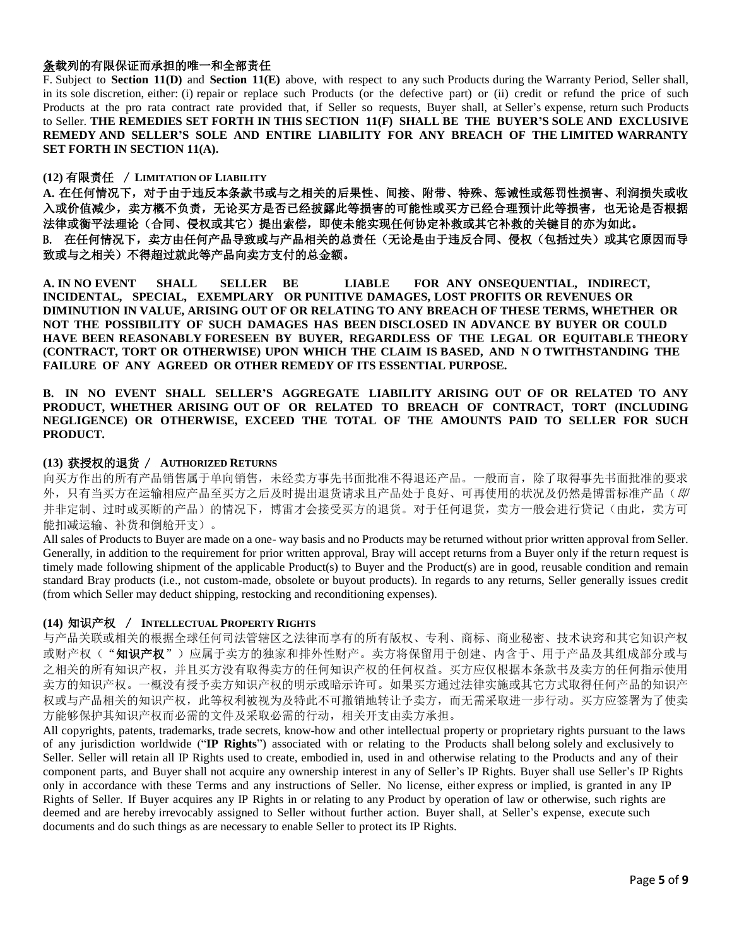# 条载列的有限保证而承担的唯一和全部责任

F. Subject to **Section 11(D)** and **Section 11(E)** above, with respect to any such Products during the Warranty Period, Seller shall, in its sole discretion, either: (i) repair or replace such Products (or the defective part) or (ii) credit or refund the price of such Products at the pro rata contract rate provided that, if Seller so requests, Buyer shall, at Seller's expense, return such Products to Seller. **THE REMEDIES SET FORTH IN THIS SECTION 11(F) SHALL BE THE BUYER'S SOLE AND EXCLUSIVE REMEDY AND SELLER'S SOLE AND ENTIRE LIABILITY FOR ANY BREACH OF THE LIMITED WARRANTY SET FORTH IN SECTION 11(A).**

#### **(12)** 有限责任 / **LIMITATION OF LIABILITY**

**A.** 在任何情况下,对于由于违反本条款书或与之相关的后果性、间接、附带、特殊、惩诫性或惩罚性损害、利润损失或收 入或价值减少,卖方概不负责,无论买方是否已经披露此等损害的可能性或买方已经合理预计此等损害,也无论是否根据 法律或衡平法理论(合同、侵权或其它)提出索偿,即使未能实现任何协定补救或其它补救的关键目的亦为如此。 B. 在任何情况下,卖方由任何产品导致或与产品相关的总责任(无论是由于违反合同、侵权(包括过失)或其它原因而导 致或与之相关)不得超过就此等产品向卖方支付的总金额。

**A. IN NO EVENT SHALL SELLER BE LIABLE FOR ANY ONSEQUENTIAL, INDIRECT, INCIDENTAL, SPECIAL, EXEMPLARY OR PUNITIVE DAMAGES, LOST PROFITS OR REVENUES OR DIMINUTION IN VALUE, ARISING OUT OF OR RELATING TO ANY BREACH OF THESE TERMS, WHETHER OR NOT THE POSSIBILITY OF SUCH DAMAGES HAS BEEN DISCLOSED IN ADVANCE BY BUYER OR COULD HAVE BEEN REASONABLY FORESEEN BY BUYER, REGARDLESS OF THE LEGAL OR EQUITABLE THEORY (CONTRACT, TORT OR OTHERWISE) UPON WHICH THE CLAIM IS BASED, AND N O TWITHSTANDING THE FAILURE OF ANY AGREED OR OTHER REMEDY OF ITS ESSENTIAL PURPOSE.**

**B. IN NO EVENT SHALL SELLER'S AGGREGATE LIABILITY ARISING OUT OF OR RELATED TO ANY PRODUCT, WHETHER ARISING OUT OF OR RELATED TO BREACH OF CONTRACT, TORT (INCLUDING NEGLIGENCE) OR OTHERWISE, EXCEED THE TOTAL OF THE AMOUNTS PAID TO SELLER FOR SUCH PRODUCT.**

#### **(13)** 获授权的退货 / **AUTHORIZED RETURNS**

向买方作出的所有产品销售属于单向销售,未经卖方事先书面批准不得退还产品。一般而言,除了取得事先书面批准的要求 外,只有当买方在运输相应产品至买方之后及时提出退货请求且产品处于良好、可再使用的状况及仍然是博雷标准产品(即 并非定制、过时或买断的产品)的情况下,博雷才会接受买方的退货。对于任何退货,卖方一般会进行贷记(由此,卖方可 能扣减运输、补货和倒舱开支)。

All sales of Products to Buyer are made on a one- way basis and no Products may be returned without prior written approval from Seller. Generally, in addition to the requirement for prior written approval, Bray will accept returns from a Buyer only if the return request is timely made following shipment of the applicable Product(s) to Buyer and the Product(s) are in good, reusable condition and remain standard Bray products (i.e., not custom-made, obsolete or buyout products). In regards to any returns, Seller generally issues credit (from which Seller may deduct shipping, restocking and reconditioning expenses).

#### **(14)** 知识产权 / **INTELLECTUAL PROPERTY RIGHTS**

与产品关联或相关的根据全球任何司法管辖区之法律而享有的所有版权、专利、商标、商业秘密、技术诀窍和其它知识产权 或财产权("知识产权")应属于卖方的独家和排外性财产。卖方将保留用于创建、内含于、用于产品及其组成部分或与 之相关的所有知识产权,并且买方没有取得卖方的任何知识产权的任何权益。买方应仅根据本条款书及卖方的任何指示使用 卖方的知识产权。一概没有授予卖方知识产权的明示或暗示许可。如果买方通过法律实施或其它方式取得任何产品的知识产 权或与产品相关的知识产权,此等权利被视为及特此不可撤销地转让予卖方,而无需采取进一步行动。买方应签署为了使卖 方能够保护其知识产权而必需的文件及采取必需的行动,相关开支由卖方承担。

All copyrights, patents, trademarks, trade secrets, know-how and other intellectual property or proprietary rights pursuant to the laws of any jurisdiction worldwide ("**IP Rights**") associated with or relating to the Products shall belong solely and exclusively to Seller. Seller will retain all IP Rights used to create, embodied in, used in and otherwise relating to the Products and any of their component parts, and Buyer shall not acquire any ownership interest in any of Seller's IP Rights. Buyer shall use Seller's IP Rights only in accordance with these Terms and any instructions of Seller. No license, either express or implied, is granted in any IP Rights of Seller. If Buyer acquires any IP Rights in or relating to any Product by operation of law or otherwise, such rights are deemed and are hereby irrevocably assigned to Seller without further action. Buyer shall, at Seller's expense, execute such documents and do such things as are necessary to enable Seller to protect its IP Rights.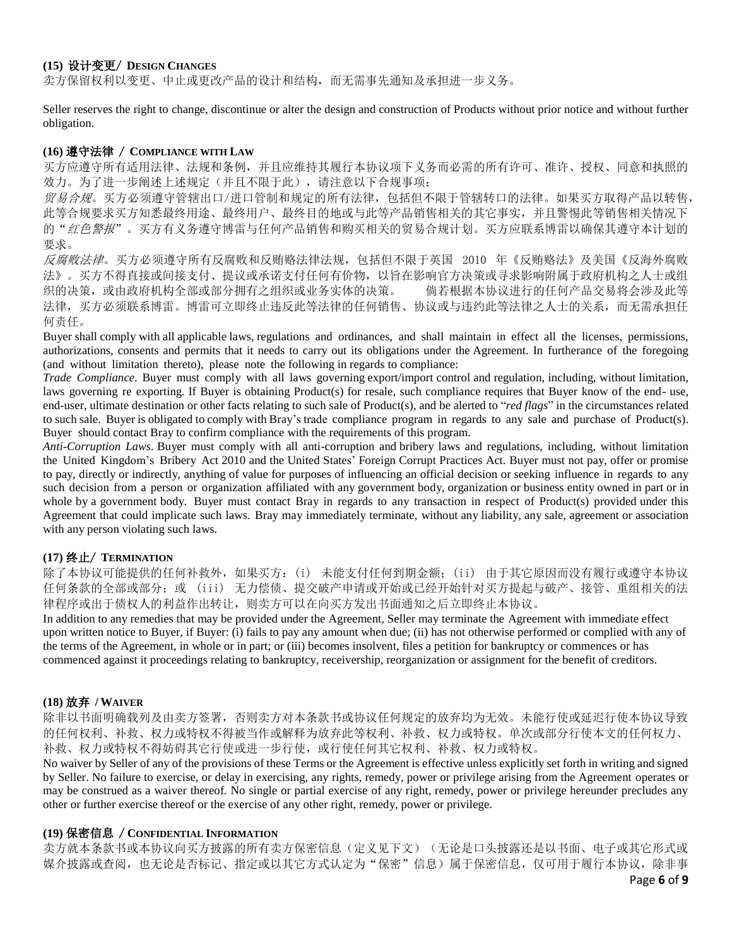### **(15)** 设计变更/ **DESIGN CHANGES**

卖方保留权利以变更、中止或更改产品的设计和结构,而无需事先通知及承担进一步义务。

Seller reserves the right to change, discontinue or alter the design and construction of Products without prior notice and without further obligation.

### **(16)** 遵守法律 / **COMPLIANCE WITH LAW**

买方应遵守所有适用法律、法规和条例,并且应维持其履行本协议项下义务而必需的所有许可、准许、授权、同意和执照的 效力。为了进一步阐述上述规定(并且不限于此),请注意以下合规事项:

贸易合规。买方必须遵守管辖出口/进口管制和规定的所有法律,包括但不限于管辖转口的法律。如果买方取得产品以转售, 此等合规要求买方知悉最终用途、最终用户、最终目的地或与此等产品销售相关的其它事实,并且警惕此等销售相关情况下 的"红色警报"。买方有义务遵守博雷与任何产品销售和购买相关的贸易合规计划。买方应联系博雷以确保其遵守本计划的 要求。

*反腐败法律*。买方必须遵守所有反腐败和反贿赂法律法规,包括但不限于英国 2010 年《反贿赂法》及美国《反海外腐败 法》。买方不得直接或间接支付、提议或承诺支付任何有价物,以旨在影响官方决策或寻求影响附属于政府机构之人士或组 织的决策,或由政府机构全部或部分拥有之组织或业务实体的决策。 倘若根据本协议进行的任何产品交易将会涉及此等 法律,买方必须联系博雷。博雷可立即终止违反此等法律的任何销售、协议或与违约此等法律之人士的关系,而无需承担任 何责任。

Buyer shall comply with all applicable laws, regulations and ordinances, and shall maintain in effect all the licenses, permissions, authorizations, consents and permits that it needs to carry out its obligations under the Agreement. In furtherance of the foregoing (and without limitation thereto), please note the following in regards to compliance:

*Trade Compliance*. Buyer must comply with all laws governing export/import control and regulation, including, without limitation, laws governing re exporting. If Buyer is obtaining Product(s) for resale, such compliance requires that Buyer know of the end- use, end-user, ultimate destination or other facts relating to such sale of Product(s), and be alerted to "*red flags*" in the circumstances related to such sale. Buyer is obligated to comply with Bray's trade compliance program in regards to any sale and purchase of Product(s). Buyer should contact Bray to confirm compliance with the requirements of this program.

*Anti-Corruption Laws*. Buyer must comply with all anti-corruption and bribery laws and regulations, including, without limitation the United Kingdom's Bribery Act 2010 and the United States' Foreign Corrupt Practices Act. Buyer must not pay, offer or promise to pay, directly or indirectly, anything of value for purposes of influencing an official decision or seeking influence in regards to any such decision from a person or organization affiliated with any government body, organization or business entity owned in part or in whole by a government body. Buyer must contact Bray in regards to any transaction in respect of Product(s) provided under this Agreement that could implicate such laws. Bray may immediately terminate, without any liability, any sale, agreement or association with any person violating such laws.

# **(17)** 终止/ **TERMINATION**

除了本协议可能提供的任何补救外,如果买方:(i) 未能支付任何到期金额;(ii) 由于其它原因而没有履行或遵守本协议 任何条款的全部或部分;或 (iii) 无力偿债、提交破产申请或开始或已经开始针对买方提起与破产、接管、重组相关的法 律程序或出于债权人的利益作出转让,则卖方可以在向买方发出书面通知之后立即终止本协议。

In addition to any remedies that may be provided under the Agreement, Seller may terminate the Agreement with immediate effect upon written notice to Buyer, if Buyer: (i) fails to pay any amount when due; (ii) has not otherwise performed or complied with any of the terms of the Agreement, in whole or in part; or (iii) becomes insolvent, files a petition for bankruptcy or commences or has commenced against it proceedings relating to bankruptcy, receivership, reorganization or assignment for the benefit of creditors.

#### **(18)** 放弃 **/ WAIVER**

除非以书面明确载列及由卖方签署,否则卖方对本条款书或协议任何规定的放弃均为无效。未能行使或延迟行使本协议导致 的任何权利、补救、权力或特权不得被当作或解释为放弃此等权利、补救、权力或特权。单次或部分行使本文的任何权力、 补救、权力或特权不得妨碍其它行使或进一步行使,或行使任何其它权利、补救、权力或特权。

No waiver by Seller of any of the provisions of these Terms or the Agreement is effective unless explicitly set forth in writing and signed by Seller. No failure to exercise, or delay in exercising, any rights, remedy, power or privilege arising from the Agreement operates or may be construed as a waiver thereof. No single or partial exercise of any right, remedy, power or privilege hereunder precludes any other or further exercise thereof or the exercise of any other right, remedy, power or privilege.

### **(19)** 保密信息 / **CONFIDENTIAL INFORMATION**

卖方就本条款书或本协议向买方披露的所有卖方保密信息(定义见下文)(无论是口头披露还是以书面、电子或其它形式或 媒介披露或查阅,也无论是否标记、指定或以其它方式认定为"保密"信息)属于保密信息,仅可用于履行本协议,除非事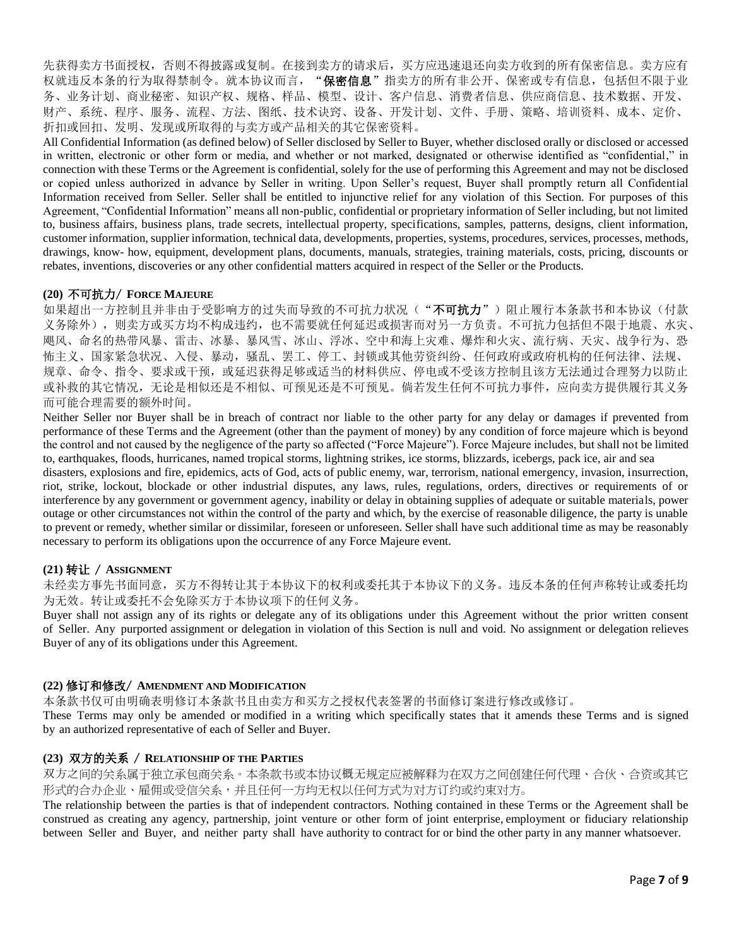先获得卖方书面授权,否则不得披露或复制。在接到卖方的请求后,买方应迅速退还向卖方收到的所有保密信息。卖方应有 权就违反本条的行为取得禁制令。就本协议而言, "保密信息"指卖方的所有非公开、保密或专有信息, 包括但不限于业 务、业务计划、商业秘密、知识产权、规格、样品、模型、设计、客户信息、消费者信息、供应商信息、技术数据、开发、 财产、系统、程序、服务、流程、方法、图纸、技术诀窍、设备、开发计划、文件、手册、策略、培训资料、成本、定价、 折扣或回扣、发明、发现或所取得的与卖方或产品相关的其它保密资料。

All Confidential Information (as defined below) of Seller disclosed by Seller to Buyer, whether disclosed orally or disclosed or accessed in written, electronic or other form or media, and whether or not marked, designated or otherwise identified as "confidential," in connection with these Terms or the Agreement is confidential, solely for the use of performing this Agreement and may not be disclosed or copied unless authorized in advance by Seller in writing. Upon Seller's request, Buyer shall promptly return all Confidential Information received from Seller. Seller shall be entitled to injunctive relief for any violation of this Section. For purposes of this Agreement, "Confidential Information" means all non-public, confidential or proprietary information of Seller including, but not limited to, business affairs, business plans, trade secrets, intellectual property, specifications, samples, patterns, designs, client information, customer information, supplier information, technical data, developments, properties, systems, procedures, services, processes, methods, drawings, know- how, equipment, development plans, documents, manuals, strategies, training materials, costs, pricing, discounts or rebates, inventions, discoveries or any other confidential matters acquired in respect of the Seller or the Products.

### **(20)** 不可抗力/ **FORCE MAJEURE**

如果超出一方控制且并非由于受影响方的过失而导致的不可抗力状况("不可抗力")阻止履行本条款书和本协议(付款 义务除外),则卖方或买方均不构成违约,也不需要就任何延迟或损害而对另一方负责。不可抗力包括但不限于地震、水灾、 飓风、命名的热带风暴、雷击、冰暴、暴风雪、冰山、浮冰、空中和海上灾难、爆炸和火灾、流行病、天灾、战争行为、恐 怖主义、国家紧急状况、入侵、暴动,骚乱、罢工、停工、封锁或其他劳资纠纷、任何政府或政府机构的任何法律、法规、 规章、命令、指令、要求或干预,或延迟获得足够或适当的材料供应、停电或不受该方控制且该方无法通过合理努力以防止 或补救的其它情况,无论是相似还是不相似、可预见还是不可预见。倘若发生任何不可抗力事件,应向卖方提供履行其义务 而可能合理需要的额外时间。

Neither Seller nor Buyer shall be in breach of contract nor liable to the other party for any delay or damages if prevented from performance of these Terms and the Agreement (other than the payment of money) by any condition of force majeure which is beyond the control and not caused by the negligence of the party so affected ("Force Majeure"). Force Majeure includes, but shall not be limited to, earthquakes, floods, hurricanes, named tropical storms, lightning strikes, ice storms, blizzards, icebergs, pack ice, air and sea disasters, explosions and fire, epidemics, acts of God, acts of public enemy, war, terrorism, national emergency, invasion, insurrection, riot, strike, lockout, blockade or other industrial disputes, any laws, rules, regulations, orders, directives or requirements of or interference by any government or government agency, inability or delay in obtaining supplies of adequate or suitable materials, power outage or other circumstances not within the control of the party and which, by the exercise of reasonable diligence, the party is unable to prevent or remedy, whether similar or dissimilar, foreseen or unforeseen. Seller shall have such additional time as may be reasonably necessary to perform its obligations upon the occurrence of any Force Majeure event.

# **(21)** 转让 / **ASSIGNMENT**

未经卖方事先书面同意,买方不得转让其于本协议下的权利或委托其于本协议下的义务。违反本条的任何声称转让或委托均 为无效。转让或委托不会免除买方于本协议项下的任何义务。

Buyer shall not assign any of its rights or delegate any of its obligations under this Agreement without the prior written consent of Seller. Any purported assignment or delegation in violation of this Section is null and void. No assignment or delegation relieves Buyer of any of its obligations under this Agreement.

# **(22)** 修订和修改/ **AMENDMENT AND MODIFICATION**

本条款书仅可由明确表明修订本条款书且由卖方和买方之授权代表签署的书面修订案进行修改或修订。

These Terms may only be amended or modified in a writing which specifically states that it amends these Terms and is signed by an authorized representative of each of Seller and Buyer.

# **(23)** 双方的关系 / **RELATIONSHIP OF THE PARTIES**

双方之间的关系属于独立承包商关系。本条款书或本协议概无规定应被解释为在双方之间创建任何代理、合伙、合资或其它 形式的合办企业、雇佣或受信关系,并且任何一方均无权以任何方式为对方订约或约束对方。

The relationship between the parties is that of independent contractors. Nothing contained in these Terms or the Agreement shall be construed as creating any agency, partnership, joint venture or other form of joint enterprise, employment or fiduciary relationship between Seller and Buyer, and neither party shall have authority to contract for or bind the other party in any manner whatsoever.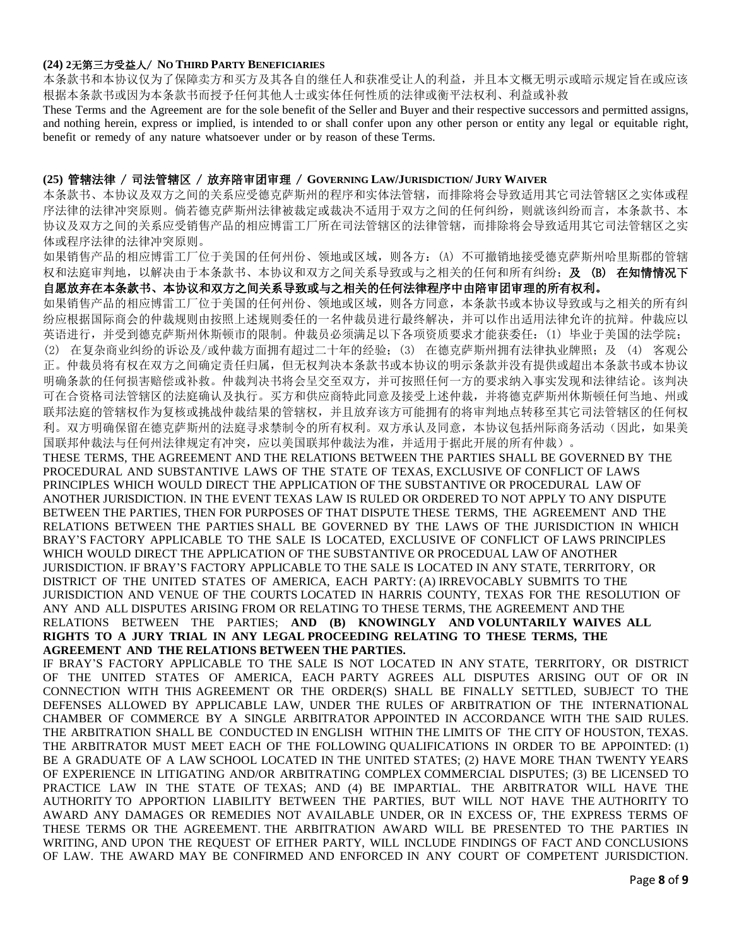#### **(24) 2**无第三方受益人/ **NO THIRD PARTY BENEFICIARIES**

本条款书和本协议仅为了保障卖方和买方及其各自的继任人和获准受让人的利益,并且本文概无明示或暗示规定旨在或应该 根据本条款书或因为本条款书而授予任何其他人士或实体任何性质的法律或衡平法权利、利益或补救

These Terms and the Agreement are for the sole benefit of the Seller and Buyer and their respective successors and permitted assigns, and nothing herein, express or implied, is intended to or shall confer upon any other person or entity any legal or equitable right, benefit or remedy of any nature whatsoever under or by reason of these Terms.

#### **(25)** 管辖法律 / 司法管辖区 / 放弃陪审团审理 / **GOVERNING LAW/JURISDICTION/ JURY WAIVER**

本条款书、本协议及双方之间的关系应受德克萨斯州的程序和实体法管辖,而排除将会导致适用其它司法管辖区之实体或程 序法律的法律冲突原则。倘若德克萨斯州法律被裁定或裁决不适用于双方之间的任何纠纷,则就该纠纷而言,本条款书、本 协议及双方之间的关系应受销售产品的相应博雷工厂所在司法管辖区的法律管辖,而排除将会导致适用其它司法管辖区之实 体或程序法律的法律冲突原则。

如果销售产品的相应博雷工厂位于美国的任何州份、领地或区域,则各方:(A) 不可撤销地接受德克萨斯州哈里斯郡的管辖 权和法庭审判地,以解决由于本条款书、本协议和双方之间关系导致或与之相关的任何和所有纠纷;及 (B) 在知情情况下 自愿放弃在本条款书、本协议和双方之间关系导致或与之相关的任何法律程序中由陪审团审理的所有权利。

如果销售产品的相应博雷工厂位于美国的任何州份、领地或区域,则各方同意,本条款书或本协议导致或与之相关的所有纠 纷应根据国际商会的仲裁规则由按照上述规则委任的一名仲裁员进行最终解决,并可以作出适用法律允许的抗辩。仲裁应以 英语进行,并受到德克萨斯州休斯顿市的限制。仲裁员必须满足以下各项资质要求才能获委任:(1) 毕业于美国的法学院; (2) 在复杂商业纠纷的诉讼及/或仲裁方面拥有超过二十年的经验;(3) 在德克萨斯州拥有法律执业牌照;及 (4) 客观公 正。仲裁员将有权在双方之间确定责任归属,但无权判决本条款书或本协议的明示条款并没有提供或超出本条款书或本协议 明确条款的任何损害赔偿或补救。仲裁判决书将会呈交至双方,并可按照任何一方的要求纳入事实发现和法律结论。该判决 可在合资格司法管辖区的法庭确认及执行。买方和供应商特此同意及接受上述仲裁,并将德克萨斯州休斯顿任何当地、州或 联邦法庭的管辖权作为复核或挑战仲裁结果的管辖权,并且放弃该方可能拥有的将审判地点转移至其它司法管辖区的任何权 利。双方明确保留在德克萨斯州的法庭寻求禁制令的所有权利。双方承认及同意,本协议包括州际商务活动(因此,如果美 国联邦仲裁法与任何州法律规定有冲突,应以美国联邦仲裁法为准,并适用于据此开展的所有仲裁)。

THESE TERMS, THE AGREEMENT AND THE RELATIONS BETWEEN THE PARTIES SHALL BE GOVERNED BY THE PROCEDURAL AND SUBSTANTIVE LAWS OF THE STATE OF TEXAS, EXCLUSIVE OF CONFLICT OF LAWS PRINCIPLES WHICH WOULD DIRECT THE APPLICATION OF THE SUBSTANTIVE OR PROCEDURAL LAW OF ANOTHER JURISDICTION. IN THE EVENT TEXAS LAW IS RULED OR ORDERED TO NOT APPLY TO ANY DISPUTE BETWEEN THE PARTIES, THEN FOR PURPOSES OF THAT DISPUTE THESE TERMS, THE AGREEMENT AND THE RELATIONS BETWEEN THE PARTIES SHALL BE GOVERNED BY THE LAWS OF THE JURISDICTION IN WHICH BRAY'S FACTORY APPLICABLE TO THE SALE IS LOCATED, EXCLUSIVE OF CONFLICT OF LAWS PRINCIPLES WHICH WOULD DIRECT THE APPLICATION OF THE SUBSTANTIVE OR PROCEDUAL LAW OF ANOTHER JURISDICTION. IF BRAY'S FACTORY APPLICABLE TO THE SALE IS LOCATED IN ANY STATE, TERRITORY, OR DISTRICT OF THE UNITED STATES OF AMERICA, EACH PARTY: (A) IRREVOCABLY SUBMITS TO THE JURISDICTION AND VENUE OF THE COURTS LOCATED IN HARRIS COUNTY, TEXAS FOR THE RESOLUTION OF ANY AND ALL DISPUTES ARISING FROM OR RELATING TO THESE TERMS, THE AGREEMENT AND THE RELATIONS BETWEEN THE PARTIES; **AND (B) KNOWINGLY AND VOLUNTARILY WAIVES ALL RIGHTS TO A JURY TRIAL IN ANY LEGAL PROCEEDING RELATING TO THESE TERMS, THE AGREEMENT AND THE RELATIONS BETWEEN THE PARTIES.**

IF BRAY'S FACTORY APPLICABLE TO THE SALE IS NOT LOCATED IN ANY STATE, TERRITORY, OR DISTRICT OF THE UNITED STATES OF AMERICA, EACH PARTY AGREES ALL DISPUTES ARISING OUT OF OR IN CONNECTION WITH THIS AGREEMENT OR THE ORDER(S) SHALL BE FINALLY SETTLED, SUBJECT TO THE DEFENSES ALLOWED BY APPLICABLE LAW, UNDER THE RULES OF ARBITRATION OF THE INTERNATIONAL CHAMBER OF COMMERCE BY A SINGLE ARBITRATOR APPOINTED IN ACCORDANCE WITH THE SAID RULES. THE ARBITRATION SHALL BE CONDUCTED IN ENGLISH WITHIN THE LIMITS OF THE CITY OF HOUSTON, TEXAS. THE ARBITRATOR MUST MEET EACH OF THE FOLLOWING QUALIFICATIONS IN ORDER TO BE APPOINTED: (1) BE A GRADUATE OF A LAW SCHOOL LOCATED IN THE UNITED STATES; (2) HAVE MORE THAN TWENTY YEARS OF EXPERIENCE IN LITIGATING AND/OR ARBITRATING COMPLEX COMMERCIAL DISPUTES; (3) BE LICENSED TO PRACTICE LAW IN THE STATE OF TEXAS; AND (4) BE IMPARTIAL. THE ARBITRATOR WILL HAVE THE AUTHORITY TO APPORTION LIABILITY BETWEEN THE PARTIES, BUT WILL NOT HAVE THE AUTHORITY TO AWARD ANY DAMAGES OR REMEDIES NOT AVAILABLE UNDER, OR IN EXCESS OF, THE EXPRESS TERMS OF THESE TERMS OR THE AGREEMENT. THE ARBITRATION AWARD WILL BE PRESENTED TO THE PARTIES IN WRITING, AND UPON THE REQUEST OF EITHER PARTY, WILL INCLUDE FINDINGS OF FACT AND CONCLUSIONS OF LAW. THE AWARD MAY BE CONFIRMED AND ENFORCED IN ANY COURT OF COMPETENT JURISDICTION.